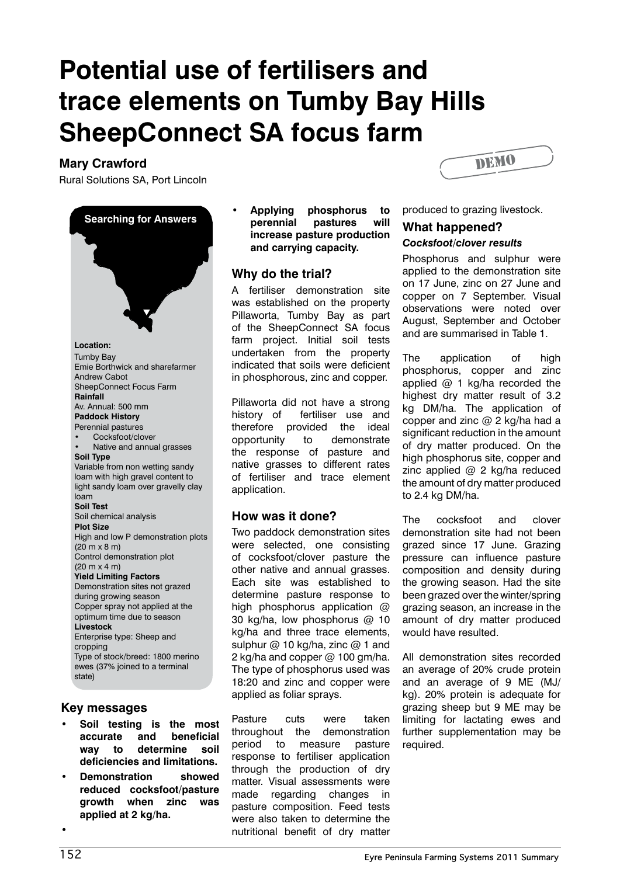# **Potential use of fertilisers and trace elements on Tumby Bay Hills SheepConnect SA focus farm**

## **Mary Crawford**

Rural Solutions SA, Port Lincoln



#### **Key messages**

- **• Soil testing is the most accurate and beneficial way to determine soil deficiencies and limitations.**
- **• Demonstration showed reduced cocksfoot/pasture growth when zinc was applied at 2 kg/ha.**

**• Applying phosphorus to perennial pastures will increase pasture production and carrying capacity.**

# **Why do the trial?**

A fertiliser demonstration site was established on the property Pillaworta, Tumby Bay as part of the SheepConnect SA focus farm project. Initial soil tests undertaken from the property indicated that soils were deficient in phosphorous, zinc and copper.

Pillaworta did not have a strong history of fertiliser use and therefore provided the ideal opportunity to demonstrate the response of pasture and native grasses to different rates of fertiliser and trace element application.

# **How was it done?**

Two paddock demonstration sites were selected, one consisting of cocksfoot/clover pasture the other native and annual grasses. Each site was established to determine pasture response to high phosphorus application @ 30 kg/ha, low phosphorus @ 10 kg/ha and three trace elements, sulphur  $@$  10 kg/ha, zinc  $@$  1 and 2 kg/ha and copper @ 100 gm/ha. The type of phosphorus used was 18:20 and zinc and copper were applied as foliar sprays.

Pasture cuts were taken throughout the demonstration period to measure pasture response to fertiliser application through the production of dry matter. Visual assessments were made regarding changes in pasture composition. Feed tests were also taken to determine the nutritional benefit of dry matter



produced to grazing livestock.

#### **What happened?**  *Cocksfoot/clover results*

Phosphorus and sulphur were applied to the demonstration site on 17 June, zinc on 27 June and copper on 7 September. Visual observations were noted over August, September and October and are summarised in Table 1.

The application of high phosphorus, copper and zinc applied @ 1 kg/ha recorded the highest dry matter result of 3.2 kg DM/ha. The application of copper and zinc  $@$  2 kg/ha had a significant reduction in the amount of dry matter produced. On the high phosphorus site, copper and zinc applied @ 2 kg/ha reduced the amount of dry matter produced to 2.4 kg DM/ha.

The cocksfoot and clover demonstration site had not been grazed since 17 June. Grazing pressure can influence pasture composition and density during the growing season. Had the site been grazed over the winter/spring grazing season, an increase in the amount of dry matter produced would have resulted.

All demonstration sites recorded an average of 20% crude protein and an average of 9 ME (MJ/ kg). 20% protein is adequate for grazing sheep but 9 ME may be limiting for lactating ewes and further supplementation may be required.

**•**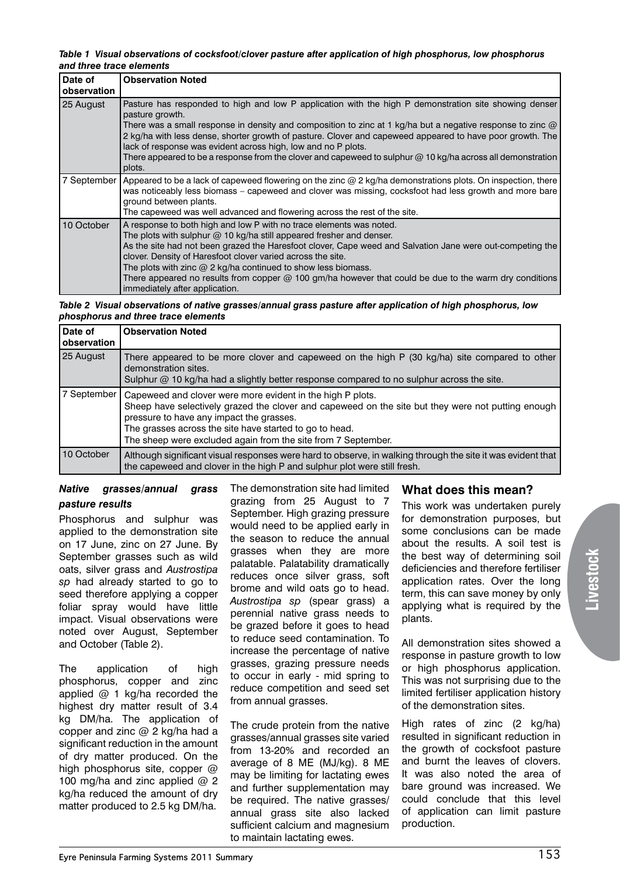*Table 1 Visual observations of cocksfoot/clover pasture after application of high phosphorus, low phosphorus and three trace elements*

| Date of<br>observation | <b>Observation Noted</b>                                                                                                                                                                                                                                                                                                                                                                                                                                                                                                                   |
|------------------------|--------------------------------------------------------------------------------------------------------------------------------------------------------------------------------------------------------------------------------------------------------------------------------------------------------------------------------------------------------------------------------------------------------------------------------------------------------------------------------------------------------------------------------------------|
| 25 August              | Pasture has responded to high and low P application with the high P demonstration site showing denser<br>pasture growth.                                                                                                                                                                                                                                                                                                                                                                                                                   |
|                        | There was a small response in density and composition to zinc at 1 kg/ha but a negative response to zinc $@$<br>2 kg/ha with less dense, shorter growth of pasture. Clover and capeweed appeared to have poor growth. The<br>lack of response was evident across high, low and no P plots.                                                                                                                                                                                                                                                 |
|                        | There appeared to be a response from the clover and capeweed to sulphur $@$ 10 kg/ha across all demonstration<br>plots.                                                                                                                                                                                                                                                                                                                                                                                                                    |
|                        | 7 September   Appeared to be a lack of capeweed flowering on the zinc @ 2 kg/ha demonstrations plots. On inspection, there<br>was noticeably less biomass – capeweed and clover was missing, cocksfoot had less growth and more bare<br>ground between plants.                                                                                                                                                                                                                                                                             |
|                        | The capeweed was well advanced and flowering across the rest of the site.                                                                                                                                                                                                                                                                                                                                                                                                                                                                  |
| 10 October             | A response to both high and low P with no trace elements was noted.<br>The plots with sulphur $@$ 10 kg/ha still appeared fresher and denser.<br>As the site had not been grazed the Haresfoot clover, Cape weed and Salvation Jane were out-competing the<br>clover. Density of Haresfoot clover varied across the site.<br>The plots with zinc $@$ 2 kg/ha continued to show less biomass.<br>There appeared no results from copper $@$ 100 gm/ha however that could be due to the warm dry conditions<br>immediately after application. |

*Table 2 Visual observations of native grasses/annual grass pasture after application of high phosphorus, low phosphorus and three trace elements*

| Date of<br>observation | <b>Observation Noted</b>                                                                                                                                                                                                                                                                                                                 |
|------------------------|------------------------------------------------------------------------------------------------------------------------------------------------------------------------------------------------------------------------------------------------------------------------------------------------------------------------------------------|
| 25 August              | There appeared to be more clover and capeweed on the high P (30 kg/ha) site compared to other<br>demonstration sites.<br>Sulphur $@$ 10 kg/ha had a slightly better response compared to no sulphur across the site.                                                                                                                     |
| 7 September            | Capeweed and clover were more evident in the high P plots.<br>Sheep have selectively grazed the clover and capeweed on the site but they were not putting enough<br>pressure to have any impact the grasses.<br>The grasses across the site have started to go to head.<br>The sheep were excluded again from the site from 7 September. |
| 10 October             | Although significant visual responses were hard to observe, in walking through the site it was evident that<br>the capeweed and clover in the high P and sulphur plot were still fresh.                                                                                                                                                  |

#### *Native grasses/annual grass pasture results*

Phosphorus and sulphur was applied to the demonstration site on 17 June, zinc on 27 June. By September grasses such as wild oats, silver grass and *Austrostipa sp* had already started to go to seed therefore applying a copper foliar spray would have little impact. Visual observations were noted over August, September and October (Table 2).

The application of high phosphorus, copper and zinc applied @ 1 kg/ha recorded the highest dry matter result of 3.4 kg DM/ha. The application of copper and zinc @ 2 kg/ha had a significant reduction in the amount of dry matter produced. On the high phosphorus site, copper @ 100 mg/ha and zinc applied  $@$  2 kg/ha reduced the amount of dry matter produced to 2.5 kg DM/ha.

The demonstration site had limited grazing from 25 August to 7 September. High grazing pressure would need to be applied early in the season to reduce the annual grasses when they are more palatable. Palatability dramatically reduces once silver grass, soft brome and wild oats go to head. *Austrostipa sp* (spear grass) a perennial native grass needs to be grazed before it goes to head to reduce seed contamination. To increase the percentage of native grasses, grazing pressure needs to occur in early - mid spring to reduce competition and seed set from annual grasses.

The crude protein from the native grasses/annual grasses site varied from 13-20% and recorded an average of 8 ME (MJ/kg). 8 ME may be limiting for lactating ewes and further supplementation may be required. The native grasses/ annual grass site also lacked sufficient calcium and magnesium to maintain lactating ewes.

# **What does this mean?**

This work was undertaken purely for demonstration purposes, but some conclusions can be made about the results. A soil test is the best way of determining soil deficiencies and therefore fertiliser application rates. Over the long term, this can save money by only applying what is required by the plants.

All demonstration sites showed a response in pasture growth to low or high phosphorus application. This was not surprising due to the limited fertiliser application history of the demonstration sites.

High rates of zinc (2 kg/ha) resulted in significant reduction in the growth of cocksfoot pasture and burnt the leaves of clovers. It was also noted the area of bare ground was increased. We could conclude that this level of application can limit pasture production.